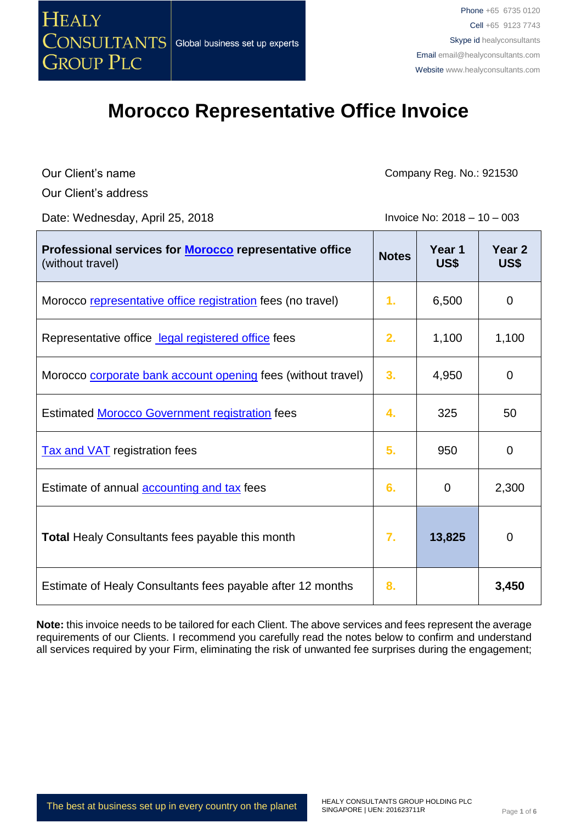

Our Client's name

Company Reg. No.: 921530

Our Client's address

Date: Wednesday, April 25, 2018 **Invoice No: 2018** - 10 – 003

| Professional services for Morocco representative office<br>(without travel) | <b>Notes</b> | Year 1<br><b>US\$</b> | Year <sub>2</sub><br>US\$ |
|-----------------------------------------------------------------------------|--------------|-----------------------|---------------------------|
| Morocco representative office registration fees (no travel)                 | 1.           | 6,500                 | 0                         |
| Representative office legal registered office fees                          | 2.           | 1,100                 | 1,100                     |
| Morocco corporate bank account opening fees (without travel)                | 3.           | 4,950                 | $\mathbf 0$               |
| <b>Estimated Morocco Government registration fees</b>                       | 4.           | 325                   | 50                        |
| <b>Tax and VAT</b> registration fees                                        | 5.           | 950                   | 0                         |
| Estimate of annual accounting and tax fees                                  | 6.           | 0                     | 2,300                     |
| <b>Total Healy Consultants fees payable this month</b>                      | 7.           | 13,825                | $\mathbf 0$               |
| Estimate of Healy Consultants fees payable after 12 months                  | 8.           |                       | 3,450                     |

**Note:** this invoice needs to be tailored for each Client. The above services and fees represent the average requirements of our Clients. I recommend you carefully read the notes below to confirm and understand all services required by your Firm, eliminating the risk of unwanted fee surprises during the engagement;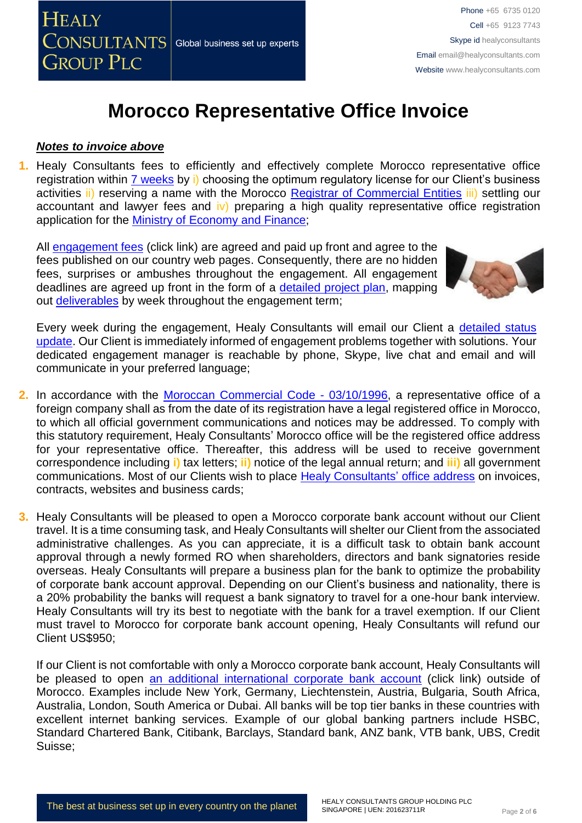

#### *Notes to invoice above*

**1.** Healy Consultants fees to efficiently and effectively complete Morocco representative office registration within 7 [weeks](http://www.healyconsultants.com/morocco-company-registration/fees-timelines/) by i) choosing the optimum regulatory license for our Client's business activities ii) reserving a name with the Morocco [Registrar of Commercial Entities](http://maps.service-public.ma/mfpma/geo/front/?lang=fr) iii) settling our accountant and lawyer fees and  $\mathbf{iv}$ ) preparing a high quality representative office registration application for the Ministry of [Economy](http://www.finances.gov.ma/en/SitePages/home.aspx) and Finance;

All [engagement fees](http://www.healyconsultants.com/company-registration-fees/) (click link) are agreed and paid up front and agree to the fees published on our country web pages. Consequently, there are no hidden fees, surprises or ambushes throughout the engagement. All engagement deadlines are agreed up front in the form of a [detailed project plan,](http://www.healyconsultants.com/index-important-links/example-project-plan/) mapping out [deliverables](http://www.healyconsultants.com/deliverables-to-our-clients/) by week throughout the engagement term;



Every week during the engagement, Healy Consultants will email our Client a detailed status [update.](http://www.healyconsultants.com/index-important-links/weekly-engagement-status-email/) Our Client is immediately informed of engagement problems together with solutions. Your dedicated engagement manager is reachable by phone, Skype, live chat and email and will communicate in your preferred language;

- **2.** In accordance with the [Moroccan Commercial Code -](http://www.wipo.int/wipolex/fr/details.jsp?id=2973) 03/10/1996, a representative office of a foreign company shall as from the date of its registration have a legal registered office in Morocco, to which all official government communications and notices may be addressed. To comply with this statutory requirement, Healy Consultants' Morocco office will be the registered office address for your representative office. Thereafter, this address will be used to receive government correspondence including **i)** tax letters; **ii)** notice of the legal annual return; and **iii)** all government communications. Most of our Clients wish to place [Healy Consultants'](http://www.healyconsultants.com/corporate-outsourcing-services/company-secretary-and-legal-registered-office/) office address on invoices, contracts, websites and business cards;
- **3.** Healy Consultants will be pleased to open a Morocco corporate bank account without our Client travel. It is a time consuming task, and Healy Consultants will shelter our Client from the associated administrative challenges. As you can appreciate, it is a difficult task to obtain bank account approval through a newly formed RO when shareholders, directors and bank signatories reside overseas. Healy Consultants will prepare a business plan for the bank to optimize the probability of corporate bank account approval. Depending on our Client's business and nationality, there is a 20% probability the banks will request a bank signatory to travel for a one-hour bank interview. Healy Consultants will try its best to negotiate with the bank for a travel exemption. If our Client must travel to Morocco for corporate bank account opening, Healy Consultants will refund our Client US\$950;

If our Client is not comfortable with only a Morocco corporate bank account, Healy Consultants will be pleased to open an additional [international corporate bank account](http://www.healyconsultants.com/international-banking/) (click link) outside of Morocco. Examples include New York, Germany, Liechtenstein, Austria, Bulgaria, South Africa, Australia, London, South America or Dubai. All banks will be top tier banks in these countries with excellent internet banking services. Example of our global banking partners include HSBC, Standard Chartered Bank, Citibank, Barclays, Standard bank, ANZ bank, VTB bank, UBS, Credit Suisse;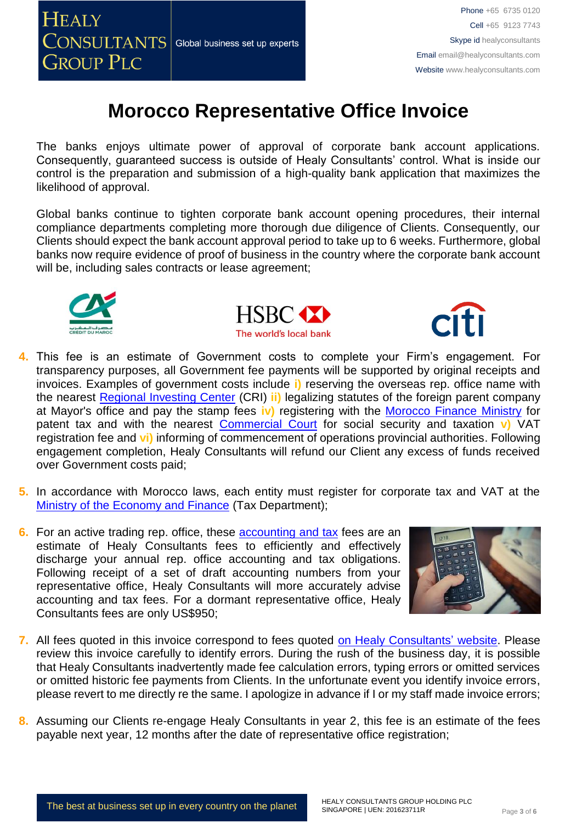

The banks enjoys ultimate power of approval of corporate bank account applications. Consequently, guaranteed success is outside of Healy Consultants' control. What is inside our control is the preparation and submission of a high-quality bank application that maximizes the likelihood of approval.

Global banks continue to tighten corporate bank account opening procedures, their internal compliance departments completing more thorough due diligence of Clients. Consequently, our Clients should expect the bank account approval period to take up to 6 weeks. Furthermore, global banks now require evidence of proof of business in the country where the corporate bank account will be, including sales contracts or lease agreement;







- **4.** This fee is an estimate of Government costs to complete your Firm's engagement. For transparency purposes, all Government fee payments will be supported by original receipts and invoices. Examples of government costs include **i)** reserving the overseas rep. office name with the nearest [Regional Investing Center](http://www.service-public.ma/web/guest/home?p_p_id=mmspservicepublicdiffusion_WAR_mmspservicepublicdiffusionportlet&_mmspservicepublicdiffusion_WAR_mmspservicepublicdiffusionportlet__spage=%2Fportlet_action%2Fma%2Fmmsp%2Fdiffus%2Fadresse%2Fdetail%3FidRubrique%3D10368&_mmspservicepublicdiffusion_WAR_mmspservicepublicdiffusionportlet_idRubrique=10368) (CRI) **ii)** legalizing statutes of the foreign parent company at Mayor's office and pay the stamp fees **iv)** registering with the [Morocco Finance Ministry](http://www.finances.gov.ma/fr/SitePages/Home.aspx) for patent tax and with the nearest [Commercial Court](http://www.service-public.ma/en/web/guest/home) for social security and taxation **v)** VAT registration fee and **vi)** informing of commencement of operations provincial authorities. Following engagement completion, Healy Consultants will refund our Client any excess of funds received over Government costs paid;
- **5.** In accordance with Morocco laws, each entity must register for corporate tax and VAT at the [Ministry of the Economy and Finance](https://www.finances.gov.ma/en/SitePages/home.aspx) (Tax Department);
- **6.** For an active trading rep. office, these **accounting and tax** fees are an estimate of Healy Consultants fees to efficiently and effectively discharge your annual rep. office accounting and tax obligations. Following receipt of a set of draft accounting numbers from your representative office, Healy Consultants will more accurately advise accounting and tax fees. For a dormant representative office, Healy Consultants fees are only US\$950;



- **7.** All fees quoted in this invoice correspond to fees quoted [on Healy Consultants' website.](http://www.healyconsultants.com/company-registration-fees/) Please review this invoice carefully to identify errors. During the rush of the business day, it is possible that Healy Consultants inadvertently made fee calculation errors, typing errors or omitted services or omitted historic fee payments from Clients. In the unfortunate event you identify invoice errors, please revert to me directly re the same. I apologize in advance if I or my staff made invoice errors;
- **8.** Assuming our Clients re-engage Healy Consultants in year 2, this fee is an estimate of the fees payable next year, 12 months after the date of representative office registration;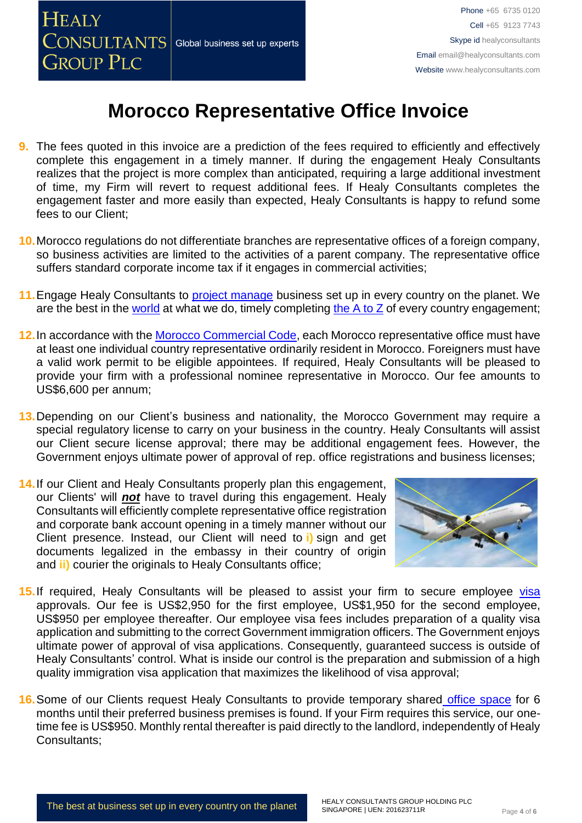

- **9.** The fees quoted in this invoice are a prediction of the fees required to efficiently and effectively complete this engagement in a timely manner. If during the engagement Healy Consultants realizes that the project is more complex than anticipated, requiring a large additional investment of time, my Firm will revert to request additional fees. If Healy Consultants completes the engagement faster and more easily than expected, Healy Consultants is happy to refund some fees to our Client;
- **10.**Morocco regulations do not differentiate branches are representative offices of a foreign company, so business activities are limited to the activities of a parent company. The representative office suffers standard corporate income tax if it engages in commercial activities;
- **11.**Engage Healy Consultants to [project manage](http://www.healyconsultants.com/project-manage-engagements/) business set up in every country on the planet. We are the best in the [world](http://www.healyconsultants.com/best-in-the-world/) at what we do, timely completing [the A to Z](http://www.healyconsultants.com/a-to-z-of-business-set-up/) of every country engagement;
- **12.**In accordance with the [Morocco Commercial Code,](http://www.service-public.ma/home;jsessionid=43A3462A20DB9FE1668BB41BBE89F4BB?p_p_id=mmspservicepublicdiffusion_WAR_mmspservicepublicdiffusionportlet&p_p_lifecycle=0&p_p_state=normal&p_p_mode=view&p_p_col_id=column-1&p_p_col_count=1&_mmspservicepublicdiffusion_WAR_mmspservicepublicdiffusionportlet__spage=%2Fportlet_action%2Fprocedure%2Fprocedure%2Fview%3FrubriqueSelected.idRubrique%3D11994%26procedureSelected.idProcedure%3D3961&_mmspservicepublicdiffusion_WAR_mmspservicepublicdiffusionportlet_rubriqueSelected.idRubrique=11994&_mmspservicepublicdiffusion_WAR_mmspservicepublicdiffusionportlet_procedureSelected.idProcedure=3961) each Morocco representative office must have at least one individual country representative ordinarily resident in Morocco. Foreigners must have a valid work permit to be eligible appointees. If required, Healy Consultants will be pleased to provide your firm with a professional nominee representative in Morocco. Our fee amounts to US\$6,600 per annum;
- **13.**Depending on our Client's business and nationality, the Morocco Government may require a special regulatory license to carry on your business in the country. Healy Consultants will assist our Client secure license approval; there may be additional engagement fees. However, the Government enjoys ultimate power of approval of rep. office registrations and business licenses;
- **14.**If our Client and Healy Consultants properly plan this engagement, our Clients' will *not* have to travel during this engagement. Healy Consultants will efficiently complete representative office registration and corporate bank account opening in a timely manner without our Client presence. Instead, our Client will need to **i)** sign and get documents legalized in the embassy in their country of origin and **ii)** courier the originals to Healy Consultants office;



- 15. If required, Healy Consultants will be pleased to assist your firm to secure employee visa approvals. Our fee is US\$2,950 for the first employee, US\$1,950 for the second employee, US\$950 per employee thereafter. Our employee visa fees includes preparation of a quality visa application and submitting to the correct Government immigration officers. The Government enjoys ultimate power of approval of visa applications. Consequently, guaranteed success is outside of Healy Consultants' control. What is inside our control is the preparation and submission of a high quality immigration visa application that maximizes the likelihood of visa approval;
- **16.**Some of our Clients request Healy Consultants to provide temporary shared [office space](http://www.healyconsultants.com/virtual-office/) for 6 months until their preferred business premises is found. If your Firm requires this service, our onetime fee is US\$950. Monthly rental thereafter is paid directly to the landlord, independently of Healy Consultants;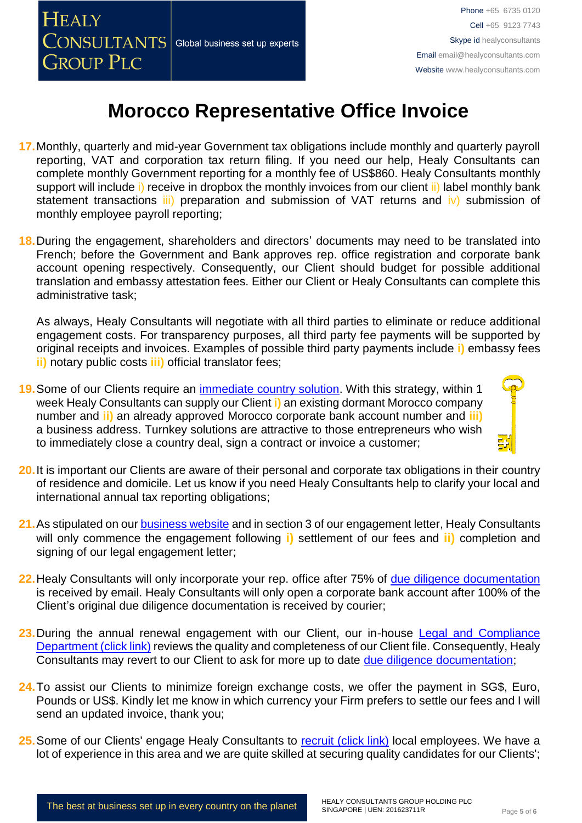

- **17.**Monthly, quarterly and mid-year Government tax obligations include monthly and quarterly payroll reporting, VAT and corporation tax return filing. If you need our help, Healy Consultants can complete monthly Government reporting for a monthly fee of US\$860. Healy Consultants monthly support will include i) receive in dropbox the monthly invoices from our client ii) label monthly bank statement transactions iii) preparation and submission of VAT returns and iv) submission of monthly employee payroll reporting;
- **18.**During the engagement, shareholders and directors' documents may need to be translated into French; before the Government and Bank approves rep. office registration and corporate bank account opening respectively. Consequently, our Client should budget for possible additional translation and embassy attestation fees. Either our Client or Healy Consultants can complete this administrative task;

As always, Healy Consultants will negotiate with all third parties to eliminate or reduce additional engagement costs. For transparency purposes, all third party fee payments will be supported by original receipts and invoices. Examples of possible third party payments include **i)** embassy fees **ii)** notary public costs **iii)** official translator fees;

- **19.**Some of our Clients require an [immediate country solution.](http://www.healyconsultants.com/turnkey-solutions/) With this strategy, within 1 week Healy Consultants can supply our Client **i)** an existing dormant Morocco company number and **ii)** an already approved Morocco corporate bank account number and **iii)** a business address. Turnkey solutions are attractive to those entrepreneurs who wish to immediately close a country deal, sign a contract or invoice a customer;
- **20.**It is important our Clients are aware of their personal and corporate tax obligations in their country of residence and domicile. Let us know if you need Healy Consultants help to clarify your local and international annual tax reporting obligations;
- 21. As stipulated on our **business website** and in section 3 of our engagement letter, Healy Consultants will only commence the engagement following **i)** settlement of our fees and **ii)** completion and signing of our legal engagement letter;
- **22.** Healy Consultants will only incorporate your rep. office after 75% of [due diligence documentation](http://www.healyconsultants.com/due-diligence/) is received by email. Healy Consultants will only open a corporate bank account after 100% of the Client's original due diligence documentation is received by courier;
- 23. During the annual renewal engagement with our Client, our in-house Legal and Compliance [Department \(click link\)](http://www.healyconsultants.com/about-us/key-personnel/cai-xin-profile/) reviews the quality and completeness of our Client file. Consequently, Healy Consultants may revert to our Client to ask for more up to date [due diligence documentation;](http://www.healyconsultants.com/due-diligence/)
- **24.**To assist our Clients to minimize foreign exchange costs, we offer the payment in SG\$, Euro, Pounds or US\$. Kindly let me know in which currency your Firm prefers to settle our fees and I will send an updated invoice, thank you;
- 25. Some of our Clients' engage Healy Consultants to [recruit \(click link\)](http://www.healyconsultants.com/corporate-outsourcing-services/how-we-help-our-clients-recruit-quality-employees/) local employees. We have a lot of experience in this area and we are quite skilled at securing quality candidates for our Clients';